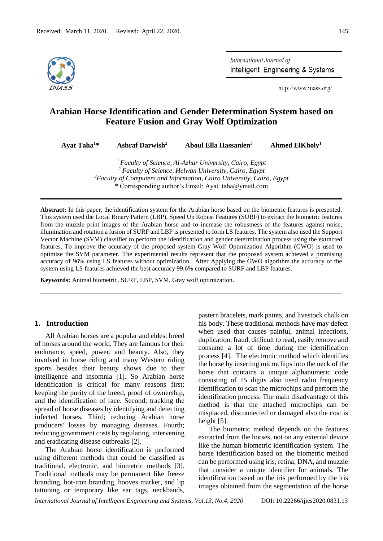

International Journal of Intelligent Engineering & Systems

http://www.inass.org/

# **Arabian Horse Identification and Gender Determination System based on Feature Fusion and Gray Wolf Optimization**

**Ayat Taha<sup>1</sup>\* Ashraf Darwish<sup>2</sup> Aboul Ella Hassanien<sup>3</sup> Ahmed ElKholy<sup>1</sup>**

> *Faculty of Science, Al-Azhar University, Cairo, Egypt Faculty of Science, Helwan University, Cairo, Egypt Faculty of Computers and Information, Cairo University, Cairo, Egypt* \* Corresponding author's Email: Ayat\_taha@ymail.com

**Abstract:** In this paper, the identification system for the Arabian horse based on the biometric features is presented. This system used the Local Binary Pattern (LBP), Speed Up Robust Features (SURF) to extract the biometric features from the muzzle print images of the Arabian horse and to increase the robustness of the features against noise, illumination and rotation a fusion of SURF and LBP is presented to form LS features. The system also used the Support Vector Machine (SVM) classifier to perform the identification and gender determination process using the extracted features. To improve the accuracy of the proposed system Gray Wolf Optimization Algorithm (GWO) is used to optimize the SVM parameter. The experimental results represent that the proposed system achieved a promising accuracy of 96% using LS features without optimization. After Applying the GWO algorithm the accuracy of the system using LS features achieved the best accuracy 99.6% compared to SURF and LBP features.

**Keywords:** Animal biometric, SURF, LBP, SVM, Gray wolf optimization.

## **1. Introduction**

All Arabian horses are a popular and eldest breed of horses around the world. They are famous for their endurance, speed, power, and beauty. Also, they involved in horse riding and many Western riding sports besides their beauty shows due to their intelligence and insomnia [1]. So Arabian horse identification is critical for many reasons first; keeping the purity of the breed, proof of ownership, and the identification of race. Second; tracking the spread of horse diseases by identifying and detecting infected horses. Third; reducing Arabian horse producers' losses by managing diseases. Fourth; reducing government costs by regulating, intervening and eradicating disease outbreaks [2].

The Arabian horse identification is performed using different methods that could be classified as traditional, electronic, and biometric methods [3]. Traditional methods may be permanent like freeze branding, hot-iron branding, hooves marker, and lip tattooing or temporary like ear tags, neckbands,

pastern bracelets, mark paints, and livestock chalk on his body. These traditional methods have may defect when used that causes painful, animal infections, duplication, fraud, difficult to read, easily remove and consume a lot of time during the identification process [4]. The electronic method which identifies the horse by inserting microchips into the neck of the horse that contains a unique alphanumeric code consisting of 15 digits also used radio frequency identification to scan the microchips and perform the identification process. The main disadvantage of this method is that the attached microchips can be misplaced, disconnected or damaged also the cost is height [5].

The biometric method depends on the features extracted from the horses, not on any external device like the human biometric identification system. The horse identification based on the biometric method can be performed using iris, retina, DNA, and muzzle that consider a unique identifier for animals. The identification based on the iris performed by the iris images obtained from the segmentation of the horse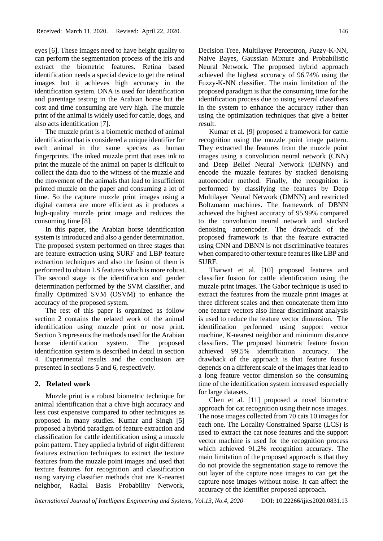eyes [6]. These images need to have height quality to can perform the segmentation process of the iris and extract the biometric features. Retina based identification needs a special device to get the retinal images but it achieves high accuracy in the identification system. DNA is used for identification and parentage testing in the Arabian horse but the cost and time consuming are very high. The muzzle print of the animal is widely used for cattle, dogs, and also acts identification [7].

The muzzle print is a biometric method of animal identification that is considered a unique identifier for each animal in the same species as human fingerprints. The inked muzzle print that uses ink to print the muzzle of the animal on paper is difficult to collect the data duo to the witness of the muzzle and the movement of the animals that lead to insufficient printed muzzle on the paper and consuming a lot of time. So the capture muzzle print images using a digital camera are more efficient as it produces a high-quality muzzle print image and reduces the consuming time [8].

In this paper, the Arabian horse identification system is introduced and also a gender determination. The proposed system performed on three stages that are feature extraction using SURF and LBP feature extraction techniques and also the fusion of them is performed to obtain LS features which is more robust. The second stage is the identification and gender determination performed by the SVM classifier, and finally Optimized SVM (OSVM) to enhance the accuracy of the proposed system.

The rest of this paper is organized as follow section 2 contains the related work of the animal identification using muzzle print or nose print. Section 3 represents the methods used for the Arabian horse identification system. The proposed identification system is described in detail in section 4. Experimental results and the conclusion are presented in sections 5 and 6, respectively.

#### **2. Related work**

Muzzle print is a robust biometric technique for animal identification that a chive high accuracy and less cost expensive compared to other techniques as proposed in many studies. Kumar and Singh [5] proposed a hybrid paradigm of feature extraction and classification for cattle identification using a muzzle point pattern. They applied a hybrid of eight different features extraction techniques to extract the texture features from the muzzle point images and used that texture features for recognition and classification using varying classifier methods that are K-nearest neighbor, Radial Basis Probability Network,

Decision Tree, Multilayer Perceptron, Fuzzy-K-NN, Naive Bayes, Gaussian Mixture and Probabilistic Neural Network. The proposed hybrid approach achieved the highest accuracy of 96.74% using the Fuzzy-K-NN classifier. The main limitation of the proposed paradigm is that the consuming time for the identification process due to using several classifiers in the system to enhance the accuracy rather than using the optimization techniques that give a better result.

Kumar et al. [9] proposed a framework for cattle recognition using the muzzle point image pattern. They extracted the features from the muzzle point images using a convolution neural network (CNN) and Deep Belief Neural Network (DBNN) and encode the muzzle features by stacked denoising autoencoder method. Finally, the recognition is performed by classifying the features by Deep Multilayer Neural Network (DMNN) and restricted Boltzmann machines. The framework of DBNN achieved the highest accuracy of 95.99% compared to the convolution neural network and stacked denoising autoencoder. The drawback of the proposed framework is that the feature extracted using CNN and DBNN is not discriminative features when compared to other texture features like LBP and SURF.

Tharwat et al. [10] proposed features and classifier fusion for cattle identification using the muzzle print images. The Gabor technique is used to extract the features from the muzzle print images at three different scales and then concatenate them into one feature vectors also linear discriminant analysis is used to reduce the feature vector dimension. The identification performed using support vector machine, K-nearest neighbor and minimum distance classifiers. The proposed biometric feature fusion achieved 99.5% identification accuracy. The drawback of the approach is that feature fusion depends on a different scale of the images that lead to a long feature vector dimension so the consuming time of the identification system increased especially for large datasets.

Chen et al. [11] proposed a novel biometric approach for cat recognition using their nose images. The nose images collected from 70 cats 10 images for each one. The Locality Constrained Sparse (LCS) is used to extract the cat nose features and the support vector machine is used for the recognition process which achieved 91.2% recognition accuracy. The main limitation of the proposed approach is that they do not provide the segmentation stage to remove the out layer of the capture nose images to can get the capture nose images without noise. It can affect the accuracy of the identifier proposed approach.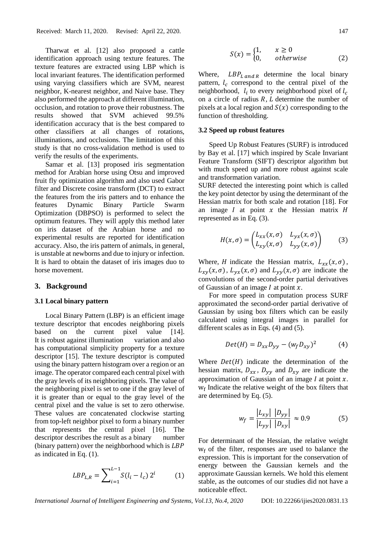Tharwat et al. [12] also proposed a cattle identification approach using texture features. The texture features are extracted using LBP which is local invariant features. The identification performed using varying classifiers which are SVM, nearest neighbor, K-nearest neighbor, and Naive base. They also performed the approach at different illumination, occlusion, and rotation to prove their robustness. The results showed that SVM achieved 99.5% identification accuracy that is the best compared to other classifiers at all changes of rotations, illuminations, and occlusions. The limitation of this study is that no cross-validation method is used to verify the results of the experiments.

Samar et al. [13] proposed iris segmentation method for Arabian horse using Otsu and improved fruit fly optimization algorithm and also used Gabor filter and Discrete cosine transform (DCT) to extract the features from the iris patters and to enhance the features Dynamic Binary Particle Swarm Optimization (DBPSO) is performed to select the optimum features. They will apply this method later on iris dataset of the Arabian horse and no experimental results are reported for identification accuracy. Also, the iris pattern of animals, in general, is unstable at newborns and due to injury or infection. It is hard to obtain the dataset of iris images duo to horse movement.

#### **3. Background**

#### **3.1 Local binary pattern**

Local Binary Pattern (LBP) is an efficient image texture descriptor that encodes neighboring pixels based on the current pixel value [14]. It is robust against illumination variation and also has computational simplicity property for a texture descriptor [15]. The texture descriptor is computed using the binary pattern histogram over a region or an image. The operator compared each central pixel with the gray levels of its neighboring pixels. The value of the neighboring pixel is set to one if the gray level of it is greater than or equal to the gray level of the central pixel and the value is set to zero otherwise. These values are concatenated clockwise starting from top-left neighbor pixel to form a binary number that represents the central pixel [16]. The descriptor describes the result as a binary number (binary pattern) over the neighborhood which is LBP as indicated in Eq. (1).

$$
LBP_{L,R} = \sum_{i=1}^{L-1} S(l_i - l_c) 2^i \tag{1}
$$

$$
S(x) = \begin{cases} 1, & x \ge 0 \\ 0, & otherwise \end{cases}
$$
 (2)

Where,  $LBP_{L,andR}$  determine the local binary pattern,  $l_c$  correspond to the central pixel of the neighborhood,  $l_i$  to every neighborhood pixel of  $l_c$ on a circle of radius  $R$ ,  $L$  determine the number of pixels at a local region and  $S(x)$  corresponding to the function of thresholding.

## **3.2 Speed up robust feature[s](https://medium.com/@deepanshut041/introduction-to-surf-speeded-up-robust-features-c7396d6e7c4e)**

Speed Up Robust Features (SURF) is introduced by Bay et al. [17] which inspired by Scale Invariant Feature Transform (SIFT) descriptor algorithm but with much speed up and more robust against scale and transformation variation.

SURF detected the interesting point which is called the key point detector by using the determinant of the Hessian matrix for both scale and rotation [18]. For an image  $I$  at point  $x$  the Hessian matrix  $H$ represented as in Eq. (3).

$$
H(x,\sigma) = \begin{pmatrix} L_{xx}(x,\sigma) & L_{yx}(x,\sigma) \\ L_{xy}(x,\sigma) & L_{yy}(x,\sigma) \end{pmatrix}
$$
 (3)

Where, *H* indicate the Hessian matrix,  $L_{xx}(x, \sigma)$ ,  $L_{xy}(x, \sigma)$ ,  $L_{yx}(x, \sigma)$  and  $L_{yy}(x, \sigma)$  are indicate the convolutions of the second-order partial derivatives of Gaussian of an image  $I$  at point  $x$ .

For more speed in computation process SURF approximated the second-order partial derivative of Gaussian by using box filters which can be easily calculated using integral images in parallel for different scales as in Eqs. (4) and (5).

$$
Det(H) = D_{xx}D_{yy} - (w_f D_{xy})^2
$$
 (4)

Where  $Det(H)$  indicate the determination of the hessian matrix,  $D_{xx}$ ,  $D_{yy}$  and  $D_{xy}$  are indicate the approximation of Gaussian of an image  $I$  at point  $x$ .  $w_f$  Indicate the relative weight of the box filters that are determined by Eq. (5).

$$
w_f = \frac{|L_{xy}| \, |D_{yy}|}{|L_{yy}| \, |D_{xy}|} \approx 0.9\tag{5}
$$

For determinant of the Hessian, the relative weight  $w_f$  of the filter, responses are used to balance the expression. This is important for the conservation of energy between the Gaussian kernels and the approximate Gaussian kernels. We hold this element stable, as the outcomes of our studies did not have a noticeable effect.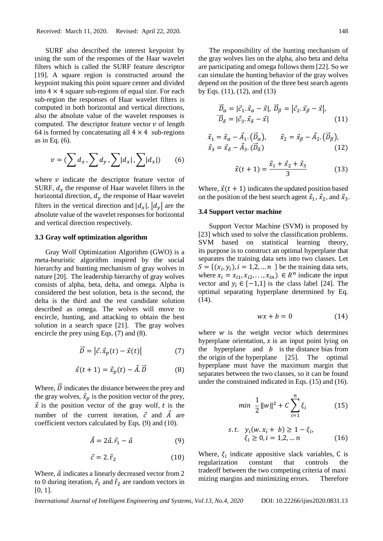SURF also described the interest keypoint by using the sum of the responses of the Haar wavelet filters which is called the SURF feature descriptor [19]. A square region is constructed around the keypoint making this point square center and divided into  $4 \times 4$  square sub-regions of equal size. For each sub-region the responses of Haar wavelet filters is computed in both horizontal and vertical directions, also the absolute value of the wavelet responses is computed. The descriptor feature vector  $\nu$  of length 64 is formed by concatenating all  $4 \times 4$  sub-regions as in Eq. (6).

$$
v = \left(\sum d_x, \sum d_y, \sum |d_x|, \sum |d_x|\right) \tag{6}
$$

where  $\nu$  indicate the descriptor feature vector of SURF,  $d_x$  the response of Haar wavelet filters in the horizontal direction,  $d<sub>y</sub>$  the response of Haar wavelet filters in the vertical direction and  $|d_x|, |d_y|$  are the absolute value of the wavelet responses for horizontal and vertical direction respectively.

#### **3.3 Gray wolf optimization algorithm**

Gray Wolf Optimization Algorithm (GWO) is a meta-heuristic algorithm inspired by the social hierarchy and hunting mechanism of gray wolves in nature [20]. The leadership hierarchy of gray wolves consists of alpha, beta, delta, and omega. Alpha is considered the best solution, beta is the second, the delta is the third and the rest candidate solution described as omega. The wolves will move to encircle, hunting, and attacking to obtain the best solution in a search space [21]. The gray wolves encircle the prey using Eqs. (7) and (8).

$$
\vec{D} = \left| \vec{c} \cdot \vec{x}_p(t) - \vec{x}(t) \right| \tag{7}
$$

$$
\vec{x}(t+1) = \vec{x}_p(t) - \vec{A} \cdot \vec{D} \tag{8}
$$

Where,  $\vec{D}$  indicates the distance between the prey and the gray wolves,  $\vec{x}_p$  is the position vector of the prey,  $\vec{x}$  is the position vector of the gray wolf, t is the number of the current iteration,  $\vec{c}$  and  $\vec{A}$  are coefficient vectors calculated by Eqs. (9) and (10).

$$
\vec{A} = 2\vec{a}.\vec{r}_1 - \vec{a} \tag{9}
$$

$$
\vec{c} = 2. \vec{r}_2 \tag{10}
$$

Where,  $\vec{a}$  indicates a linearly decreased vector from 2 to 0 during iteration,  $\vec{r}_1$  and  $\vec{r}_2$  are random vectors in [0, 1].

The responsibility of the hunting mechanism of the gray wolves lies on the alpha, also beta and delta are participating and omega follows them [22]. So we can simulate the hunting behavior of the gray wolves depend on the position of the three best search agents by Eqs. (11), (12), and (13)

$$
\begin{aligned}\n\overrightarrow{D}_{\alpha} &= |\vec{c}_1 \cdot \vec{x}_{\alpha} - \vec{x}|, \ \overrightarrow{D}_{\beta} = |\vec{c}_2 \cdot \vec{x}_{\beta} - \vec{x}|, \\
\overrightarrow{D}_{\delta} &= |\vec{c}_3 \cdot \vec{x}_{\delta} - \vec{x}| \n\end{aligned} \n\tag{11}
$$

$$
\vec{x}_1 = \vec{x}_\alpha - \vec{A}_1 \cdot (\vec{D}_\alpha), \qquad \vec{x}_2 = \vec{x}_\beta - \vec{A}_2 \cdot (\vec{D}_\beta), \n\vec{x}_3 = \vec{x}_\delta - \vec{A}_3 \cdot (\vec{D}_\delta)
$$
\n(12)

$$
\vec{x}(t+1) = \frac{\vec{x}_1 + \vec{x}_2 + \vec{x}_3}{3} \tag{13}
$$

Where,  $\vec{x}(t + 1)$  indicates the updated position based on the position of the best search agent  $\vec{x}_1$ ,  $\vec{x}_2$ , and  $\vec{x}_3$ .

## **3.4 Support vector machine**

Support Vector Machine (SVM) is proposed by [23] which used to solve the classification problems. SVM based on statistical learning theory, its purpose is to construct an optimal hyperplane that separates the training data sets into two classes. Let  $S = \{ (x_i, y_i), i = 1, 2, ..., n \}$  be the training data sets, where  $x_i = x_{i1}, x_{i2}, \dots, x_{in}$   $\in R^n$  indicate the input vector and  $y_i \in \{-1,1\}$  is the class label [24]. The optimal separating hyperplane determined by Eq. (14).

$$
wx + b = 0 \tag{14}
$$

where  $w$  is the weight vector which determines hyperplane orientation,  $x$  is an input point lying on the hyperplane and  $b$  is the distance bias from the origin of the hyperplane [25]. The optimal hyperplane must have the maximum margin that separates between the two classes, so it can be found under the constrained indicated in Eqs. (15) and (16).

$$
min \ \ \frac{1}{2} ||w||^2 + C \sum_{i=1}^{n} \xi_i \tag{15}
$$

s.t. 
$$
y_i(w.x_i + b) \ge 1 - \xi_i
$$
,  
\n $\xi_i \ge 0, i = 1, 2, ... n$  (16)

Where,  $\xi$ <sub>i</sub> indicate appositive slack variables, C is regularization constant that controls the tradeoff between the two competing criteria of maxi mizing margins and minimizing errors. Therefore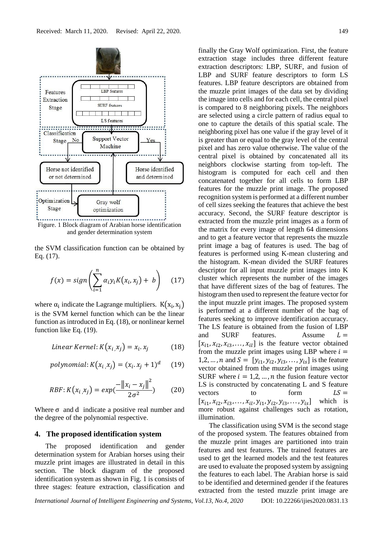

and gender determination system

the SVM classification function can be obtained by Eq. (17).

$$
f(x) = sign\left(\sum_{i=1}^{n} \alpha_i y_i K(x_i, x_j) + b\right) \quad (17)
$$

where  $\alpha_i$  indicate the Lagrange multipliers.  $K(x_i, x_j)$ is the SVM kernel function which can be the linear function as introduced in Eq. (18), or nonlinear kernel function like Eq. (19).

*Linear Kernel*: 
$$
K(x_i, x_j) = x_i \cdot x_j
$$
 (18)

$$
polynomial: K(x_i, x_j) = (x_i, x_j + 1)^d \quad (19)
$$

RBF: 
$$
K(x_i, x_j) = exp(\frac{-\|x_i - x_j\|^2}{2\sigma^2})
$$
 (20)

Where  $\sigma$  and d indicate a positive real number and the degree of the polynomial respective.

## **4. The proposed identification system**

The proposed identification and gender determination system for Arabian horses using their muzzle print images are illustrated in detail in this section. The block diagram of the proposed identification system as shown in Fig. 1 is consists of three stages: feature extraction, classification and finally the Gray Wolf optimization. First, the feature extraction stage includes three different feature extraction descriptors: LBP, SURF, and fusion of LBP and SURF feature descriptors to form LS features. LBP feature descriptors are obtained from the muzzle print images of the data set by dividing the image into cells and for each cell, the central pixel is compared to 8 neighboring pixels. The neighbors are selected using a circle pattern of radius equal to one to capture the details of this spatial scale. The neighboring pixel has one value if the gray level of it is greater than or equal to the gray level of the central pixel and has zero value otherwise. The value of the central pixel is obtained by concatenated all its neighbors clockwise starting from top-left. The histogram is computed for each cell and then concatenated together for all cells to form LBP features for the muzzle print image. The proposed recognition system is performed at a different number of cell sizes seeking the features that achieve the best accuracy. Second, the SURF feature descriptor is extracted from the muzzle print images as a form of the matrix for every image of length 64 dimensions and to get a feature vector that represents the muzzle print image a bag of features is used. The bag of features is performed using K-mean clustering and the histogram. K-mean divided the SURF features descriptor for all input muzzle print images into K cluster which represents the number of the images that have different sizes of the bag of features. The histogram then used to represent the feature vector for the input muzzle print images. The proposed system is performed at a different number of the bag of features seeking to improve identification accuracy. The LS feature is obtained from the fusion of LBP and SURF features. Assume  $L =$  $[x_{i1}, x_{i2}, x_{i3}, \ldots, x_{il}]$  is the feature vector obtained from the muzzle print images using LBP where  $i =$ 1,2, ..., *n* and  $S = [y_{i1}, y_{i2}, y_{i3}, \dots, y_{is}]$  is the feature vector obtained from the muzzle print images using SURF where  $i = 1, 2, ..., n$  the fusion feature vector LS is constructed by concatenating L and S feature vectors to form  $LS =$  $[x_{i1}, x_{i2}, x_{i3}, \ldots, x_{il}, y_{i1}, y_{i2}, y_{i3}, \ldots, y_{is}]$  which is more robust against challenges such as rotation, illumination.

The classification using SVM is the second stage of the proposed system. The features obtained from the muzzle print images are partitioned into train features and test features. The trained features are used to get the learned models and the test features are used to evaluate the proposed system by assigning the features to each label. The Arabian horse is said to be identified and determined gender if the features extracted from the tested muzzle print image are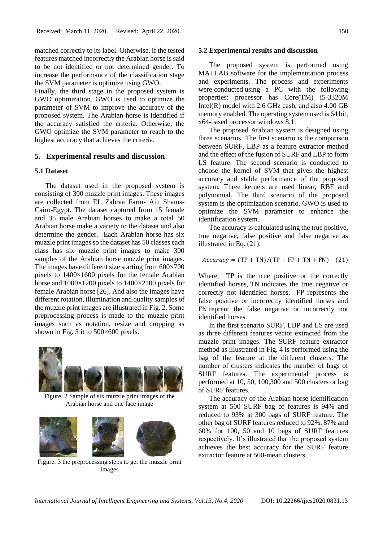matched correctly to its label. Otherwise, if the tested features matched incorrectly the Arabian horse is said to be not identified or not determined gender. To increase the performance of the classification stage the SVM parameter is optimize using GWO.

Finally, the third stage in the proposed system is GWO optimization. GWO is used to optimize the parameter of SVM to improve the accuracy of the proposed system. The Arabian horse is identified if the accuracy satisfied the criteria. Otherwise, the GWO optimize the SVM parameter to reach to the highest accuracy that achieves the criteria.

## **5. Experimental results and discussion**

#### **5.1 Dataset**

The dataset used in the proposed system is consisting of 300 muzzle print images. These images are collected from EL Zahraa Farm- Ain Shams-Cairo-Egypt. The dataset captured from 15 female and 35 male Arabian horses to make a total 50 Arabian horse make a variety to the dataset and also determine the gender. Each Arabian horse has six muzzle print images so the dataset has 50 classes each class has six muzzle print images to make 300 samples of the Arabian horse muzzle print images. The images have different size starting from  $600\times700$ pixels to 1400×1600 pixels for the female Arabian horse and 1000×1200 pixels to 1400×2100 pixels for female Arabian horse [26]. And also the images have different rotation, illumination and quality samples of the muzzle print images are illustrated in Fig. 2. Some preprocessing process is made to the muzzle print images such as notation, resize and cropping as shown in Fig. 3 it to 500×600 pixels.



Figure. 2 Sample of six muzzle print images of the Arabian horse and one face image



Figure. 3 the preprocessing steps to get the muzzle print images

The proposed system is performed using MATLAB software for the implementation process and experiments. The process and experiments were conducted using a PC with the following properties: processor has Core(TM) i5-3320M Intel $(R)$  model with 2.6 GHz cash, and also 4.00 GB memory enabled. The operating system used is 64 bit, x64-based processor windows 8.1.

The proposed Arabian system is designed using three scenarios. The first scenario is the comparison between SURF, LBP as a feature extractor method and the effect of the fusion of SURF and LBP to form LS feature. The second scenario is conducted to choose the kernel of SVM that gives the highest accuracy and stable performance of the proposed system. Three kernels are used linear, RBF and polynomial. The third scenario of the proposed system is the optimization scenario. GWO is used to optimize the SVM parameter to enhance the identification system.

The accuracy is calculated using the true positive, true negative, false positive and false negative as illustrated in Eq. (21).

$$
Accuracy = (TP + TN)/(TP + FP + TN + FN) \quad (21)
$$

Where, TP is the true positive or the correctly identified horses, TN indicates the true negative or correctly not identified horses, FP represents the false positive or incorrectly identified horses and FN reprent the false negative or incorrectly not identified horses.

In the first scenario SURF, LBP and LS are used as three different features vector extracted from the muzzle print images. The SURF feature extractor method as illustrated in Fig. 4 is performed using the bag of the feature at the different clusters. The number of clusters indicates the number of bags of SURF features. The experimental process is performed at 10, 50, 100,300 and 500 clusters or bag of SURF features.

The accuracy of the Arabian horse identification system at 500 SURF bag of features is 94% and reduced to 93% at 300 bags of SURF feature. The other bag of SURF features reduced to 92%, 87% and 60% for 100, 50 and 10 bags of SURF features respectively. It's illustrated that the proposed system achieves the best accuracy for the SURF feature extractor feature at 500-mean clusters.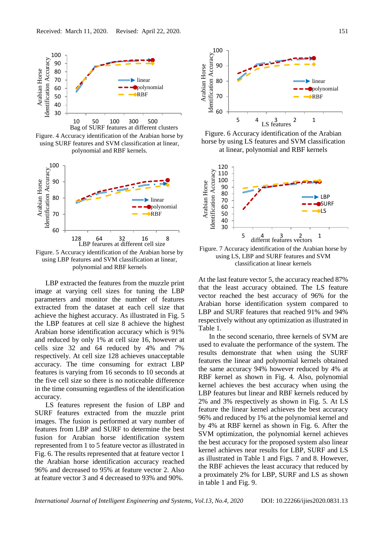

Figure. 4 Accuracy identification of the Arabian horse by using SURF features and SVM classification at linear, polynomial and RBF kernels.



polynomial and RBF kernels

LBP extracted the features from the muzzle print image at varying cell sizes for tuning the LBP parameters and monitor the number of features extracted from the dataset at each cell size that achieve the highest accuracy. As illustrated in Fig. 5 the LBP features at cell size 8 achieve the highest Arabian horse identification accuracy which is 91% and reduced by only 1% at cell size 16, however at cells size 32 and 64 reduced by 4% and 7% respectively. At cell size 128 achieves unacceptable accuracy. The time consuming for extract LBP features is varying from 16 seconds to 10 seconds at the five cell size so there is no noticeable difference in the time consuming regardless of the identification accuracy.

LS features represent the fusion of LBP and SURF features extracted from the muzzle print images. The fusion is performed at vary number of features from LBP and SURF to determine the best fusion for Arabian horse identification system represented from 1 to 5 feature vector as illustrated in Fig. 6. The results represented that at feature vector 1 the Arabian horse identification accuracy reached 96% and decreased to 95% at feature vector 2. Also at feature vector 3 and 4 decreased to 93% and 90%.



Figure. 6 Accuracy identification of the Arabian horse by using LS features and SVM classification at linear, polynomial and RBF kernels



using LS, LBP and SURF features and SVM classification at linear kernels

At the last feature vector 5, the accuracy reached 87% that the least accuracy obtained. The LS feature vector reached the best accuracy of 96% for the Arabian horse identification system compared to LBP and SURF features that reached 91% and 94% respectively without any optimization as illustrated in Table 1.

In the second scenario, three kernels of SVM are used to evaluate the performance of the system. The results demonstrate that when using the SURF features the linear and polynomial kernels obtained the same accuracy 94% however reduced by 4% at RBF kernel as shown in Fig. 4. Also, polynomial kernel achieves the best accuracy when using the LBP features but linear and RBF kernels reduced by 2% and 3% respectively as shown in Fig. 5. At LS feature the linear kernel achieves the best accuracy 96% and reduced by 1% at the polynomial kernel and by 4% at RBF kernel as shown in Fig. 6. After the SVM optimization, the polynomial kernel achieves the best accuracy for the proposed system also linear kernel achieves near results for LBP, SURF and LS as illustrated in Table 1 and Figs. 7 and 8. However, the RBF achieves the least accuracy that reduced by a proximately 2% for LBP, SURF and LS as shown in table 1 and Fig. 9.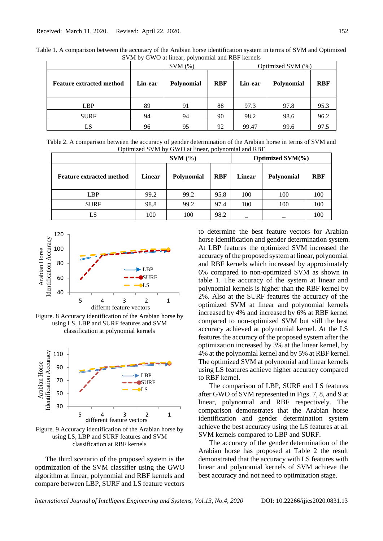|                                 | $SVM$ $(\% )$ |                   |            | Optimized SVM (%) |            |            |
|---------------------------------|---------------|-------------------|------------|-------------------|------------|------------|
| <b>Feature extracted method</b> | Lin-ear       | <b>Polynomial</b> | <b>RBF</b> | Lin-ear           | Polynomial | <b>RBF</b> |
| <b>LBP</b>                      | 89            | 91                | 88         | 97.3              | 97.8       | 95.3       |
| <b>SURF</b>                     | 94            | 94                | 90         | 98.2              | 98.6       | 96.2       |
| LS                              | 96            | 95                | 92         | 99.47             | 99.6       | 97.5       |

Table 1. A comparison between the accuracy of the Arabian horse identification system in terms of SVM and Optimized SVM by GWO at linear, polynomial and RBF kernels

Table 2. A comparison between the accuracy of gender determination of the Arabian horse in terms of SVM and Optimized SVM by GWO at linear, polynomial and RBF

|                                 | $SVM$ $(\% )$ |                   |            | Optimized $SVM(\%)$ |                   |            |
|---------------------------------|---------------|-------------------|------------|---------------------|-------------------|------------|
| <b>Feature extracted method</b> | Linear        | <b>Polynomial</b> | <b>RBF</b> | Linear              | <b>Polynomial</b> | <b>RBF</b> |
| <b>LBP</b>                      | 99.2          | 99.2              | 95.8       | 100                 | 100               | 100        |
| <b>SURF</b>                     | 98.8          | 99.2              | 97.4       | 100                 | 100               | 100        |
| LS                              | 100           | 100               | 98.2       |                     |                   | 100        |



Figure. 8 Accuracy identification of the Arabian horse by using LS, LBP and SURF features and SVM classification at polynomial kernels



Figure. 9 Accuracy identification of the Arabian horse by using LS, LBP and SURF features and SVM classification at RBF kernels

The third scenario of the proposed system is the optimization of the SVM classifier using the GWO algorithm at linear, polynomial and RBF kernels and compare between LBP, SURF and LS feature vectors

to determine the best feature vectors for Arabian horse identification and gender determination system. At LBP features the optimized SVM increased the accuracy of the proposed system at linear, polynomial and RBF kernels which increased by approximately 6% compared to non-optimized SVM as shown in table 1. The accuracy of the system at linear and polynomial kernels is higher than the RBF kernel by 2%. Also at the SURF features the accuracy of the optimized SVM at linear and polynomial kernels increased by 4% and increased by 6% at RBF kernel compared to non-optimized SVM but still the best accuracy achieved at polynomial kernel. At the LS features the accuracy of the proposed system after the optimization increased by 3% at the linear kernel, by 4% at the polynomial kernel and by 5% at RBF kernel. The optimized SVM at polynomial and linear kernels using LS features achieve higher accuracy compared to RBF kernel.

The comparison of LBP, SURF and LS features after GWO of SVM represented in Figs. 7, 8, and 9 at linear, polynomial and RBF respectively. The comparison demonstrates that the Arabian horse identification and gender determination system achieve the best accuracy using the LS features at all SVM kernels compared to LBP and SURF.

The accuracy of the gender determination of the Arabian horse has proposed at Table 2 the result demonstrated that the accuracy with LS features with linear and polynomial kernels of SVM achieve the best accuracy and not need to optimization stage.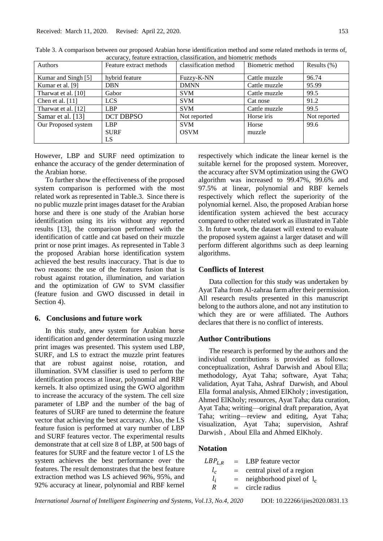Our Proposed system | LBP

|                     | габте э. А сотиратьон беспеси баг рторовса Анабан погве касинтеанон пістюа ана воніс генаса пістюав пі астив бі |                       |                  |                 |
|---------------------|-----------------------------------------------------------------------------------------------------------------|-----------------------|------------------|-----------------|
|                     | accuracy, feature extraction, classification, and biometric methods                                             |                       |                  |                 |
| <b>Authors</b>      | Feature extract methods                                                                                         | classification method | Biometric method | Results $(\% )$ |
| Kumar and Singh [5] | hybrid feature                                                                                                  | Fuzzy-K-NN            | Cattle muzzle    | 96.74           |
| Kumar et al. [9]    | <b>DBN</b>                                                                                                      | <b>DMNN</b>           | Cattle muzzle    | 95.99           |
| Tharwat et al. [10] | Gabor                                                                                                           | <b>SVM</b>            | Cattle muzzle    | 99.5            |
| Chen et al. $[11]$  | <b>LCS</b>                                                                                                      | <b>SVM</b>            | Cat nose         | 91.2            |
| Tharwat et al. [12] | <b>LBP</b>                                                                                                      | <b>SVM</b>            | Cattle muzzle    | 99.5            |

Table 3. A comparison between our proposed Arabian horse identification method and some related methods in terms of,

Samar et al. [13] DCT DBPSO Not reported Horse iris Not reported

SVM **OSVM** 

However, LBP and SURF need optimization to enhance the accuracy of the gender determination of the Arabian horse.

**SURF** LS

To further show the effectiveness of the proposed system comparison is performed with the most related work as represented in Table.3. Since there is no public muzzle print images dataset for the Arabian horse and there is one study of the Arabian horse identification using its iris without any reported results [13], the comparison performed with the identification of cattle and cat based on their muzzle print or nose print images. As represented in Table 3 the proposed Arabian horse identification system achieved the best results inaccuracy. That is due to two reasons: the use of the features fusion that is robust against rotation, illumination, and variation and the optimization of GW to SVM classifier (feature fusion and GWO discussed in detail in Section 4).

## **6. Conclusions and future work**

In this study, anew system for Arabian horse identification and gender determination using muzzle print images was presented. This system used LBP, SURF, and LS to extract the muzzle print features that are robust against noise, rotation, and illumination. SVM classifier is used to perform the identification process at linear, polynomial and RBF kernels. It also optimized using the GWO algorithm to increase the accuracy of the system. The cell size parameter of LBP and the number of the bag of features of SURF are tuned to determine the feature vector that achieving the best accuracy. Also, the LS feature fusion is performed at vary number of LBP and SURF features vector. The experimental results demonstrate that at cell size 8 of LBP, at 500 bags of features for SURF and the feature vector 1 of LS the system achieves the best performance over the features. The result demonstrates that the best feature extraction method was LS achieved 96%, 95%, and 92% accuracy at linear, polynomial and RBF kernel

respectively which indicate the linear kernel is the suitable kernel for the proposed system. Moreover, the accuracy after SVM optimization using the GWO algorithm was increased to 99.47%, 99.6% and 97.5% at linear, polynomial and RBF kernels respectively which reflect the superiority of the polynomial kernel. Also, the proposed Arabian horse identification system achieved the best accuracy compared to other related work as illustrated in Table 3. In future work, the dataset will extend to evaluate the proposed system against a larger dataset and will perform different algorithms such as deep learning algorithms.

Horse muzzle

#### **Conflicts of Interest**

Data collection for this study was undertaken by Ayat Taha from Al-zahraa farm after their permission. All research results presented in this manuscript belong to the authors alone, and not any institution to which they are or were affiliated. The Authors declares that there is no conflict of interests.

## **Author Contributions**

The research is performed by the authors and the individual contributions is provided as follows: conceptualization, Ashraf Darwish and Aboul Ella; methodology, Ayat Taha; software, Ayat Taha; validation, Ayat Taha, Ashraf Darwish, and Aboul Ella formal analysis, Ahmed ElKholy ; investigation, Ahmed ElKholy; resources, Ayat Taha; data curation, Ayat Taha; writing—original draft preparation, Ayat Taha; writing—review and editing, Ayat Taha; visualization, Ayat Taha; supervision, Ashraf Darwish , Aboul Ella and Ahmed ElKholy.

## **Notation**

| $LBP_{L.R.}$ | $=$ | LBP feature vector          |
|--------------|-----|-----------------------------|
| $l_c$        | $=$ | central pixel of a region   |
| $l_i$        | $=$ | neighborhood pixel of $l_c$ |
| R            | $=$ | circle radius               |

*International Journal of Intelligent Engineering and Systems, Vol.13, No.4, 2020* DOI: 10.22266/ijies2020.0831.13

99.6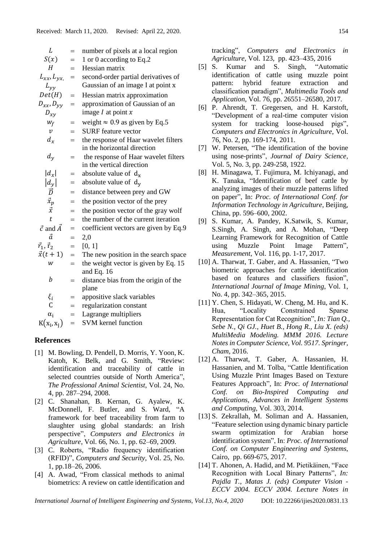| L                                                                      | $=$ | number of pixels at a local region    |
|------------------------------------------------------------------------|-----|---------------------------------------|
| S(x)                                                                   | $=$ | 1 or 0 according to Eq.2              |
| H                                                                      | $=$ | Hessian matrix                        |
| $L_{xx}$ , $L_{yx}$                                                    | $=$ | second-order partial derivatives of   |
| $L_{yy}$                                                               |     | Gaussian of an image I at point x     |
| Det(H)                                                                 | $=$ | Hessian matrix approximation          |
| $D_{xx}$ , $D_{yy}$                                                    | $=$ | approximation of Gaussian of an       |
| $D_{xv}$                                                               |     | image $I$ at point $x$                |
| $W_f$                                                                  | $=$ | weight $\approx 0.9$ as given by Eq.5 |
| $\mathcal V$                                                           | $=$ | <b>SURF</b> feature vector            |
| $d_x$                                                                  | $=$ | the response of Haar wavelet filters  |
|                                                                        |     | in the horizontal direction           |
| $d_y$                                                                  | $=$ | the response of Haar wavelet filters  |
|                                                                        |     | in the vertical direction             |
| $ d_x $                                                                | $=$ | absolute value of $d_x$               |
|                                                                        | $=$ | absolute value of $d_v$               |
| $\begin{vmatrix} d_y \\ \vec{D} \\ \vec{x}_p \\ \vec{x} \end{vmatrix}$ | $=$ | distance between prey and GW          |
|                                                                        |     | the position vector of the prey       |
|                                                                        | $=$ | the position vector of the gray wolf  |
| $\ddot{t}$                                                             | $=$ | the number of the current iteration   |
| $\vec{c}$ and $\vec{A}$                                                | $=$ | coefficient vectors are given by Eq.9 |
| ã                                                                      | $=$ | 2,0                                   |
| $\vec{r}_1, \vec{r}_2$                                                 | $=$ | [0, 1]                                |
| $\vec{x}(t+1)$                                                         | $=$ | The new position in the search space  |
| W                                                                      | $=$ | the weight vector is given by Eq. 15  |
|                                                                        |     | and Eq. $16$                          |
| b                                                                      | $=$ | distance bias from the origin of the  |
|                                                                        |     | plane                                 |
| $\xi_i$                                                                | $=$ | appositive slack variables            |
| C                                                                      | $=$ | regularization constant               |
| $\alpha_i$                                                             | $=$ | Lagrange multipliers                  |
| $K(x_i, x_i)$                                                          | $=$ | <b>SVM</b> kernel function            |
|                                                                        |     |                                       |

## **References**

- [1] M. Bowling, D. Pendell, D. Morris, Y. Yoon, K. Katoh, K. Belk, and G. Smith, "Review: identification and traceability of cattle in selected countries outside of North America", *The Professional Animal Scientist*, Vol. 24, No. 4, pp. 287–294, 2008.
- [2] C. Shanahan, B. Kernan, G. Ayalew, K. McDonnell, F. Butler, and S. Ward, "A framework for beef traceability from farm to slaughter using global standards: an Irish perspective", *Computers and Electronics in Agriculture,* Vol. 66, No. 1, pp. 62–69, 2009.
- [3] C. Roberts, "Radio frequency identification (RFID)", *Computers and Security,* Vol. 25, No. 1, pp.18–26, 2006.
- [4] A. Awad, "From classical methods to animal biometrics: A review on cattle identification and

tracking", *Computers and Electronics in Agriculture,* Vol. 123, pp. 423–435, 2016

- [5] S. Kumar and S. Singh, "Automatic identification of cattle using muzzle point pattern: hybrid feature extraction and classification paradigm", *Multimedia Tools and Application*, Vol. 76, pp. 26551–26580, 2017.
- [6] P. Ahrendt, T. Gregersen, and H. Karstoft, "Development of a real-time computer vision system for tracking loose-housed pigs", *Computers and Electronics in Agriculture*, Vol. 76, No. 2, pp. 169-174, 2011.
- [7] W. Petersen, "The identification of the bovine using nose-prints", *Journal of Dairy Science,*  Vol. 5, No. 3, pp. 249-258, 1922.
- [8] H. Minagawa, T. Fujimura, M. Ichiyanagi, and K. Tanaka, "Identification of beef cattle by analyzing images of their muzzle patterns lifted on paper", In: *Proc. of International Conf. for Information Technology in Agriculture*, Beijing, China, pp. 596–600, 2002.
- [9] S. Kumar, A. Pandey, K.Satwik, S. Kumar, S.Singh, A. Singh, and A. Mohan, "Deep Learning Framework for Recognition of Cattle using Muzzle Point Image Pattern", *Measurement*, Vol. 116, pp. 1-17, 2017.
- [10] A. Tharwat, T. Gaber, and A. Hassanien, "Two biometric approaches for cattle identification based on features and classifiers fusion", *International Journal of Image Mining*, Vol. 1, No. 4, pp. 342–365, 2015.
- [11] Y. Chen, S. Hidayati, W. Cheng, M. Hu, and K. Hua, "Locality Constrained Sparse Representation for Cat Recognition", *In: Tian Q., Sebe N., Qi GJ., Huet B., Hong R., Liu X. (eds) MultiMedia Modeling. MMM 2016. Lecture Notes in Computer Science, Vol. 9517. Springer, Cham*, 2016.
- [12] A. Tharwat, T. Gaber, A. Hassanien, H. Hassanien, and M. Tolba, "Cattle Identification Using Muzzle Print Images Based on Texture Features Approach", In: *Proc. of International Conf. on Bio-Inspired Computing and Applications*, *Advances in Intelligent Systems and Computing*, Vol. 303, 2014.
- [13] S. Zekrallah, M. Soliman and A. Hassanien, "Feature selection using dynamic binary particle swarm optimization for Arabian horse identification system", In: *Proc. of International Conf. on Computer Engineering and Systems*, Cairo, pp. 669-675, 2017.
- [14] T. Ahonen, A. Hadid, and M. Pietikäinen, "Face Recognition with Local Binary Patterns", *In: Pajdla T., Matas J. (eds) Computer Vision - ECCV 2004. ECCV 2004. Lecture Notes in*